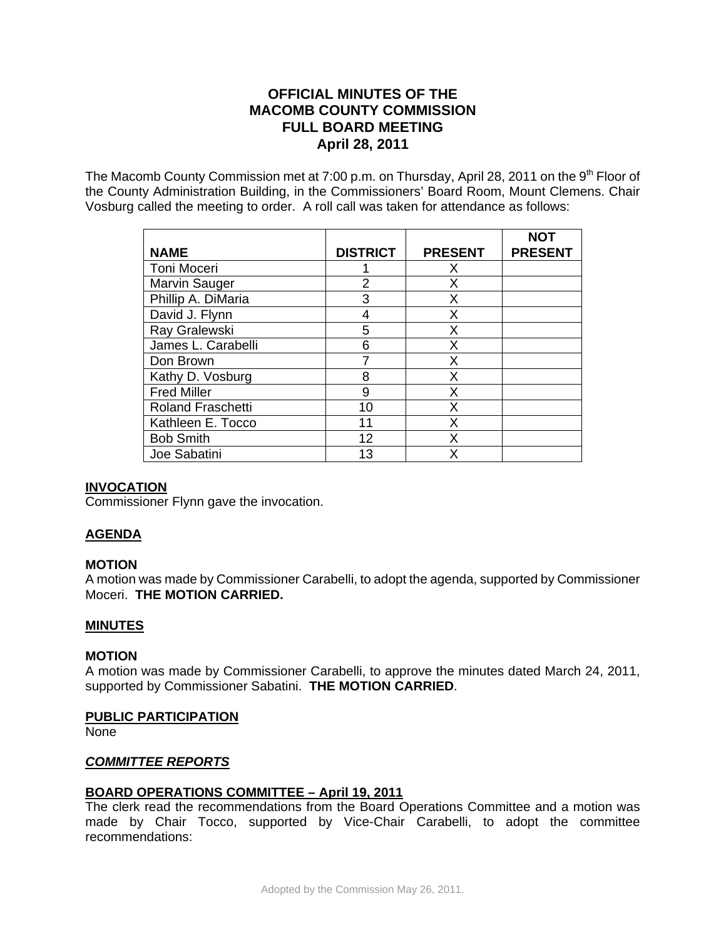# **OFFICIAL MINUTES OF THE MACOMB COUNTY COMMISSION FULL BOARD MEETING April 28, 2011**

The Macomb County Commission met at 7:00 p.m. on Thursday, April 28, 2011 on the 9<sup>th</sup> Floor of the County Administration Building, in the Commissioners' Board Room, Mount Clemens. Chair Vosburg called the meeting to order. A roll call was taken for attendance as follows:

|                          |                 |                | <b>NOT</b>     |
|--------------------------|-----------------|----------------|----------------|
| <b>NAME</b>              | <b>DISTRICT</b> | <b>PRESENT</b> | <b>PRESENT</b> |
| Toni Moceri              |                 | Х              |                |
| Marvin Sauger            | 2               | X              |                |
| Phillip A. DiMaria       | 3               | Х              |                |
| David J. Flynn           | 4               | X              |                |
| Ray Gralewski            | 5               | X              |                |
| James L. Carabelli       | 6               | Χ              |                |
| Don Brown                |                 | X              |                |
| Kathy D. Vosburg         | 8               | Χ              |                |
| <b>Fred Miller</b>       | 9               | X              |                |
| <b>Roland Fraschetti</b> | 10              | Χ              |                |
| Kathleen E. Tocco        | 11              | X              |                |
| <b>Bob Smith</b>         | 12              | x              |                |
| Joe Sabatini             | 13              | x              |                |

### **INVOCATION**

Commissioner Flynn gave the invocation.

# **AGENDA**

### **MOTION**

A motion was made by Commissioner Carabelli, to adopt the agenda, supported by Commissioner Moceri. **THE MOTION CARRIED.**

### **MINUTES**

### **MOTION**

A motion was made by Commissioner Carabelli, to approve the minutes dated March 24, 2011, supported by Commissioner Sabatini. **THE MOTION CARRIED**.

### **PUBLIC PARTICIPATION**

None

### *COMMITTEE REPORTS*

### **BOARD OPERATIONS COMMITTEE – April 19, 2011**

The clerk read the recommendations from the Board Operations Committee and a motion was made by Chair Tocco, supported by Vice-Chair Carabelli, to adopt the committee recommendations: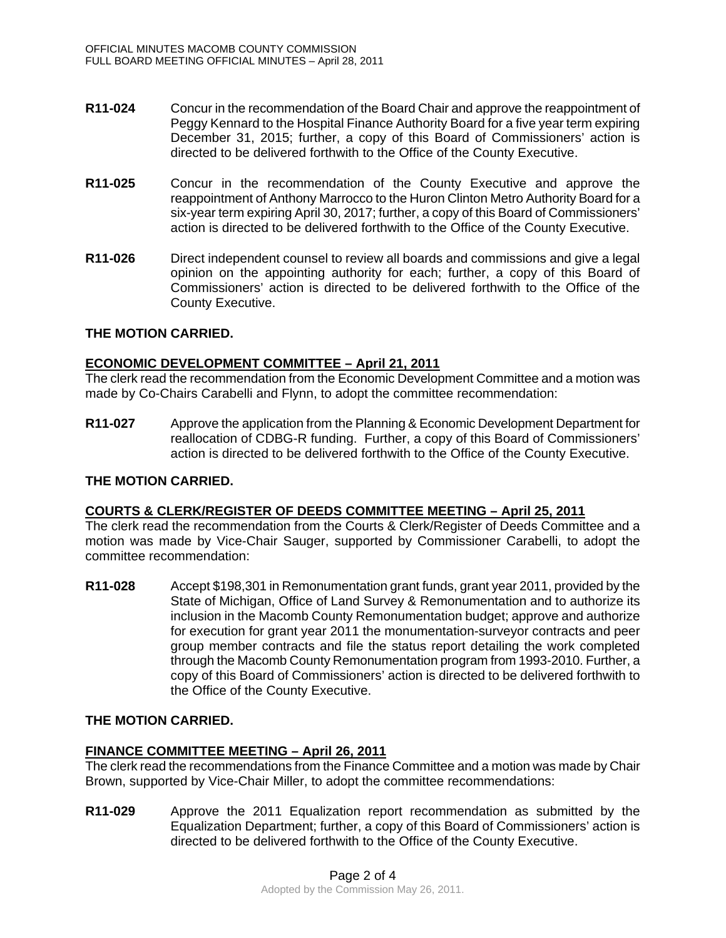- **R11-024** Concur in the recommendation of the Board Chair and approve the reappointment of Peggy Kennard to the Hospital Finance Authority Board for a five year term expiring December 31, 2015; further, a copy of this Board of Commissioners' action is directed to be delivered forthwith to the Office of the County Executive.
- **R11-025** Concur in the recommendation of the County Executive and approve the reappointment of Anthony Marrocco to the Huron Clinton Metro Authority Board for a six-year term expiring April 30, 2017; further, a copy of this Board of Commissioners' action is directed to be delivered forthwith to the Office of the County Executive.
- **R11-026** Direct independent counsel to review all boards and commissions and give a legal opinion on the appointing authority for each; further, a copy of this Board of Commissioners' action is directed to be delivered forthwith to the Office of the County Executive.

# **THE MOTION CARRIED.**

### **ECONOMIC DEVELOPMENT COMMITTEE – April 21, 2011**

The clerk read the recommendation from the Economic Development Committee and a motion was made by Co-Chairs Carabelli and Flynn, to adopt the committee recommendation:

**R11-027** Approve the application from the Planning & Economic Development Department for reallocation of CDBG-R funding. Further, a copy of this Board of Commissioners' action is directed to be delivered forthwith to the Office of the County Executive.

# **THE MOTION CARRIED.**

### **COURTS & CLERK/REGISTER OF DEEDS COMMITTEE MEETING – April 25, 2011**

The clerk read the recommendation from the Courts & Clerk/Register of Deeds Committee and a motion was made by Vice-Chair Sauger, supported by Commissioner Carabelli, to adopt the committee recommendation:

**R11-028** Accept \$198,301 in Remonumentation grant funds, grant year 2011, provided by the State of Michigan, Office of Land Survey & Remonumentation and to authorize its inclusion in the Macomb County Remonumentation budget; approve and authorize for execution for grant year 2011 the monumentation-surveyor contracts and peer group member contracts and file the status report detailing the work completed through the Macomb County Remonumentation program from 1993-2010. Further, a copy of this Board of Commissioners' action is directed to be delivered forthwith to the Office of the County Executive.

# **THE MOTION CARRIED.**

### **FINANCE COMMITTEE MEETING – April 26, 2011**

The clerk read the recommendations from the Finance Committee and a motion was made by Chair Brown, supported by Vice-Chair Miller, to adopt the committee recommendations:

**R11-029** Approve the 2011 Equalization report recommendation as submitted by the Equalization Department; further, a copy of this Board of Commissioners' action is directed to be delivered forthwith to the Office of the County Executive.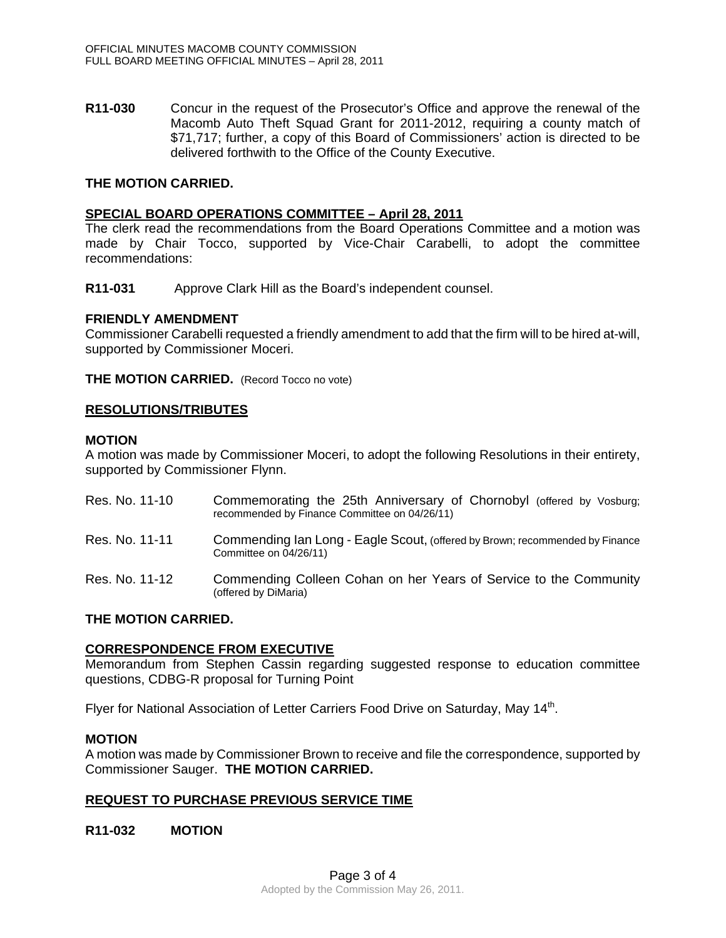**R11-030** Concur in the request of the Prosecutor's Office and approve the renewal of the Macomb Auto Theft Squad Grant for 2011-2012, requiring a county match of \$71,717; further, a copy of this Board of Commissioners' action is directed to be delivered forthwith to the Office of the County Executive.

### **THE MOTION CARRIED.**

### **SPECIAL BOARD OPERATIONS COMMITTEE – April 28, 2011**

The clerk read the recommendations from the Board Operations Committee and a motion was made by Chair Tocco, supported by Vice-Chair Carabelli, to adopt the committee recommendations:

**R11-031** Approve Clark Hill as the Board's independent counsel.

#### **FRIENDLY AMENDMENT**

Commissioner Carabelli requested a friendly amendment to add that the firm will to be hired at-will, supported by Commissioner Moceri.

**THE MOTION CARRIED.** (Record Tocco no vote)

#### **RESOLUTIONS/TRIBUTES**

#### **MOTION**

A motion was made by Commissioner Moceri, to adopt the following Resolutions in their entirety, supported by Commissioner Flynn.

| Res. No. 11-10 | Commemorating the 25th Anniversary of Chornobyl (offered by Vosburg;<br>recommended by Finance Committee on 04/26/11) |
|----------------|-----------------------------------------------------------------------------------------------------------------------|
| Res. No. 11-11 | Commending Ian Long - Eagle Scout, (offered by Brown; recommended by Finance<br>Committee on 04/26/11)                |
| Res. No. 11-12 | Commending Colleen Cohan on her Years of Service to the Community<br>(offered by DiMaria)                             |

### **THE MOTION CARRIED.**

### **CORRESPONDENCE FROM EXECUTIVE**

Memorandum from Stephen Cassin regarding suggested response to education committee questions, CDBG-R proposal for Turning Point

Flyer for National Association of Letter Carriers Food Drive on Saturday, May  $14<sup>th</sup>$ .

#### **MOTION**

A motion was made by Commissioner Brown to receive and file the correspondence, supported by Commissioner Sauger. **THE MOTION CARRIED.** 

### **REQUEST TO PURCHASE PREVIOUS SERVICE TIME**

**R11-032 MOTION**